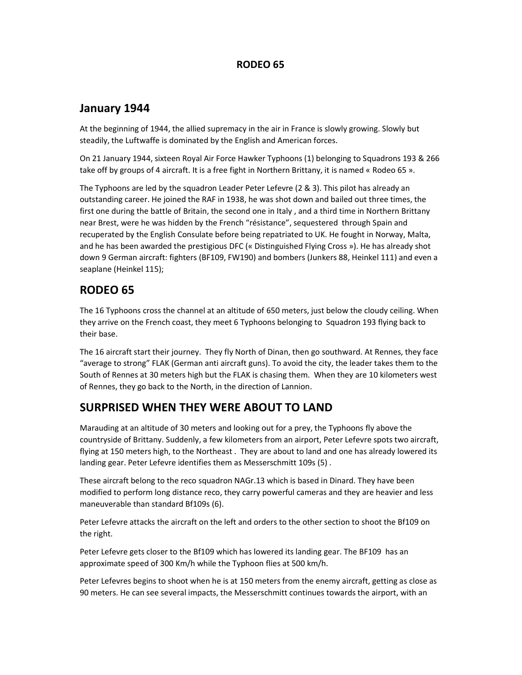#### RODEO 65

#### January 1944

At the beginning of 1944, the allied supremacy in the air in France is slowly growing. Slowly but steadily, the Luftwaffe is dominated by the English and American forces.

On 21 January 1944, sixteen Royal Air Force Hawker Typhoons (1) belonging to Squadrons 193 & 266 take off by groups of 4 aircraft. It is a free fight in Northern Brittany, it is named « Rodeo 65 ».

The Typhoons are led by the squadron Leader Peter Lefevre (2 & 3). This pilot has already an outstanding career. He joined the RAF in 1938, he was shot down and bailed out three times, the first one during the battle of Britain, the second one in Italy , and a third time in Northern Brittany near Brest, were he was hidden by the French "résistance", sequestered through Spain and recuperated by the English Consulate before being repatriated to UK. He fought in Norway, Malta, and he has been awarded the prestigious DFC (« Distinguished Flying Cross »). He has already shot down 9 German aircraft: fighters (BF109, FW190) and bombers (Junkers 88, Heinkel 111) and even a seaplane (Heinkel 115);

# RODEO 65

The 16 Typhoons cross the channel at an altitude of 650 meters, just below the cloudy ceiling. When they arrive on the French coast, they meet 6 Typhoons belonging to Squadron 193 flying back to their base.

The 16 aircraft start their journey. They fly North of Dinan, then go southward. At Rennes, they face "average to strong" FLAK (German anti aircraft guns). To avoid the city, the leader takes them to the South of Rennes at 30 meters high but the FLAK is chasing them. When they are 10 kilometers west of Rennes, they go back to the North, in the direction of Lannion.

### SURPRISED WHEN THEY WERE ABOUT TO LAND

Marauding at an altitude of 30 meters and looking out for a prey, the Typhoons fly above the countryside of Brittany. Suddenly, a few kilometers from an airport, Peter Lefevre spots two aircraft, flying at 150 meters high, to the Northeast . They are about to land and one has already lowered its landing gear. Peter Lefevre identifies them as Messerschmitt 109s (5) .

These aircraft belong to the reco squadron NAGr.13 which is based in Dinard. They have been modified to perform long distance reco, they carry powerful cameras and they are heavier and less maneuverable than standard Bf109s (6).

Peter Lefevre attacks the aircraft on the left and orders to the other section to shoot the Bf109 on the right.

Peter Lefevre gets closer to the Bf109 which has lowered its landing gear. The BF109 has an approximate speed of 300 Km/h while the Typhoon flies at 500 km/h.

Peter Lefevres begins to shoot when he is at 150 meters from the enemy aircraft, getting as close as 90 meters. He can see several impacts, the Messerschmitt continues towards the airport, with an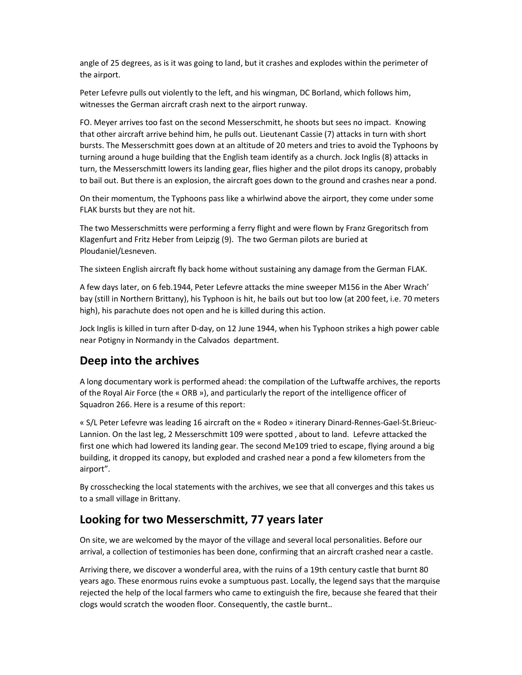angle of 25 degrees, as is it was going to land, but it crashes and explodes within the perimeter of the airport.

Peter Lefevre pulls out violently to the left, and his wingman, DC Borland, which follows him, witnesses the German aircraft crash next to the airport runway.

FO. Meyer arrives too fast on the second Messerschmitt, he shoots but sees no impact. Knowing that other aircraft arrive behind him, he pulls out. Lieutenant Cassie (7) attacks in turn with short bursts. The Messerschmitt goes down at an altitude of 20 meters and tries to avoid the Typhoons by turning around a huge building that the English team identify as a church. Jock Inglis (8) attacks in turn, the Messerschmitt lowers its landing gear, flies higher and the pilot drops its canopy, probably to bail out. But there is an explosion, the aircraft goes down to the ground and crashes near a pond.

On their momentum, the Typhoons pass like a whirlwind above the airport, they come under some FLAK bursts but they are not hit.

The two Messerschmitts were performing a ferry flight and were flown by Franz Gregoritsch from Klagenfurt and Fritz Heber from Leipzig (9). The two German pilots are buried at Ploudaniel/Lesneven.

The sixteen English aircraft fly back home without sustaining any damage from the German FLAK.

A few days later, on 6 feb.1944, Peter Lefevre attacks the mine sweeper M156 in the Aber Wrach' bay (still in Northern Brittany), his Typhoon is hit, he bails out but too low (at 200 feet, i.e. 70 meters high), his parachute does not open and he is killed during this action.

Jock Inglis is killed in turn after D-day, on 12 June 1944, when his Typhoon strikes a high power cable near Potigny in Normandy in the Calvados department.

### Deep into the archives

A long documentary work is performed ahead: the compilation of the Luftwaffe archives, the reports of the Royal Air Force (the « ORB »), and particularly the report of the intelligence officer of Squadron 266. Here is a resume of this report:

« S/L Peter Lefevre was leading 16 aircraft on the « Rodeo » itinerary Dinard-Rennes-Gael-St.Brieuc-Lannion. On the last leg, 2 Messerschmitt 109 were spotted , about to land. Lefevre attacked the first one which had lowered its landing gear. The second Me109 tried to escape, flying around a big building, it dropped its canopy, but exploded and crashed near a pond a few kilometers from the airport".

By crosschecking the local statements with the archives, we see that all converges and this takes us to a small village in Brittany.

# Looking for two Messerschmitt, 77 years later

On site, we are welcomed by the mayor of the village and several local personalities. Before our arrival, a collection of testimonies has been done, confirming that an aircraft crashed near a castle.

Arriving there, we discover a wonderful area, with the ruins of a 19th century castle that burnt 80 years ago. These enormous ruins evoke a sumptuous past. Locally, the legend says that the marquise rejected the help of the local farmers who came to extinguish the fire, because she feared that their clogs would scratch the wooden floor. Consequently, the castle burnt..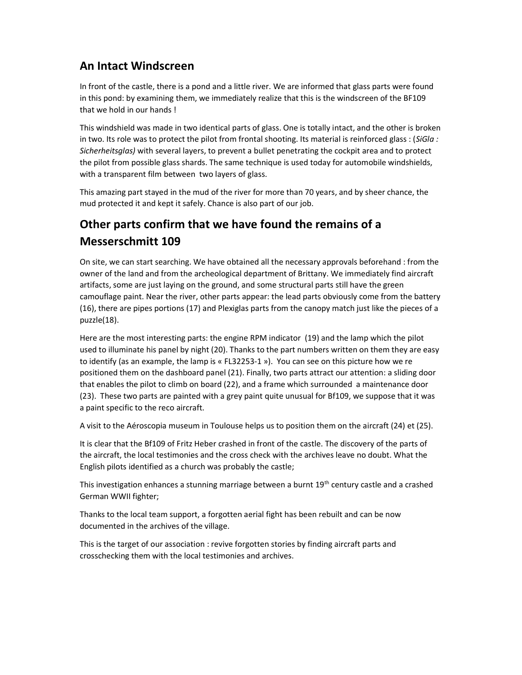## An Intact Windscreen

In front of the castle, there is a pond and a little river. We are informed that glass parts were found in this pond: by examining them, we immediately realize that this is the windscreen of the BF109 that we hold in our hands !

This windshield was made in two identical parts of glass. One is totally intact, and the other is broken in two. Its role was to protect the pilot from frontal shooting. Its material is reinforced glass : (SiGla : Sicherheitsglas) with several layers, to prevent a bullet penetrating the cockpit area and to protect the pilot from possible glass shards. The same technique is used today for automobile windshields, with a transparent film between two layers of glass.

This amazing part stayed in the mud of the river for more than 70 years, and by sheer chance, the mud protected it and kept it safely. Chance is also part of our job.

# Other parts confirm that we have found the remains of a Messerschmitt 109

On site, we can start searching. We have obtained all the necessary approvals beforehand : from the owner of the land and from the archeological department of Brittany. We immediately find aircraft artifacts, some are just laying on the ground, and some structural parts still have the green camouflage paint. Near the river, other parts appear: the lead parts obviously come from the battery (16), there are pipes portions (17) and Plexiglas parts from the canopy match just like the pieces of a puzzle(18).

Here are the most interesting parts: the engine RPM indicator (19) and the lamp which the pilot used to illuminate his panel by night (20). Thanks to the part numbers written on them they are easy to identify (as an example, the lamp is « FL32253-1 »). You can see on this picture how we re positioned them on the dashboard panel (21). Finally, two parts attract our attention: a sliding door that enables the pilot to climb on board (22), and a frame which surrounded a maintenance door (23). These two parts are painted with a grey paint quite unusual for Bf109, we suppose that it was a paint specific to the reco aircraft.

A visit to the Aéroscopia museum in Toulouse helps us to position them on the aircraft (24) et (25).

It is clear that the Bf109 of Fritz Heber crashed in front of the castle. The discovery of the parts of the aircraft, the local testimonies and the cross check with the archives leave no doubt. What the English pilots identified as a church was probably the castle;

This investigation enhances a stunning marriage between a burnt  $19<sup>th</sup>$  century castle and a crashed German WWII fighter;

Thanks to the local team support, a forgotten aerial fight has been rebuilt and can be now documented in the archives of the village.

This is the target of our association : revive forgotten stories by finding aircraft parts and crosschecking them with the local testimonies and archives.